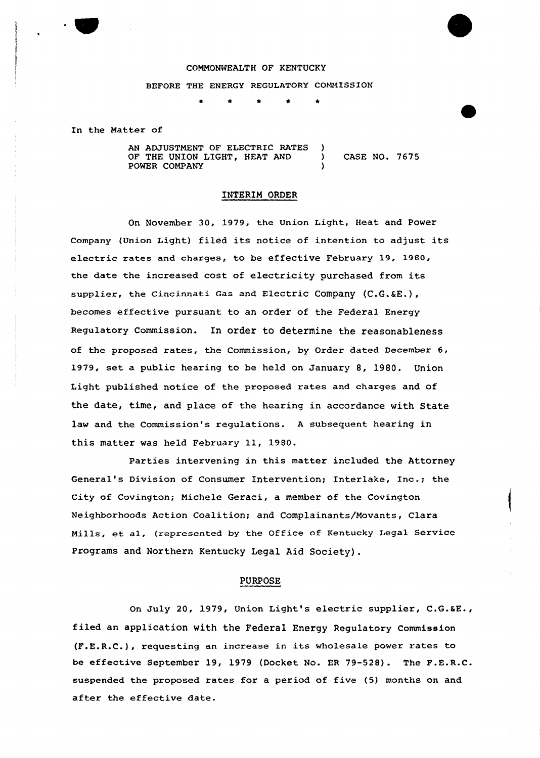#### COMMONWEALTH OF KENTUCKY

BEFORE THE ENERGY REGULATORY COMMISSION

\* \* \* \*

In the Matter of

AN ADJUSTMENT OF ELECTRIC RATES ) OF THE UNION LIGHT, HEAT AND ) CASE NO. 7675 POWER COMPANY

### INTERIM ORDER

On November 30, 1979, the Union Light, Heat and Power Company (Union Light) filed its notice of intention to adjust its electric rates and charges, to be effective February 19, 1980, the date the increased cost of electricity purchased from its supplier, the Cincinnati Gas and Electric Company (C.G.&E.), becomes effective pursuant to an order of the Federal Energy Regulatory Commission. In order to determine the reasonableness of the proposed rates, the Commission, by Order dated December 6, 1979, set a public hearing to be held on January 8, 1980. Union Light published notice of the proposed rates and charges and of the date, time, and place of the hearing in accordance with State law and the Commission's regulations. <sup>A</sup> subsequent hearing in this matter was held February 11, 1980.

Parties intervening in this matter included the Attorney General's Division of Consumer Intervention; Interlake, Inc.; the City of Covington; Michele Geraci, a member of the Covington Neighborhoods Action Coalition; and Complainants/Movants, Clara Mills, et al, (represented by the Office of Kentucky Legal Service Programs and Northern Kentucky Legal Aid Society) .

### PURPOSE

On July 20, 1979, Union Light's electric supplier, C.G.aE., filed an application with the Federal Energy Regulatory Commission (F.E.R.C.), requesting an increase in its wholesale power rates to be effective September 19, 1979 (Docket No. ER 79-528). The F.E.R.C. suspended the proposed rates for a period of five (5) months on and after the effective date.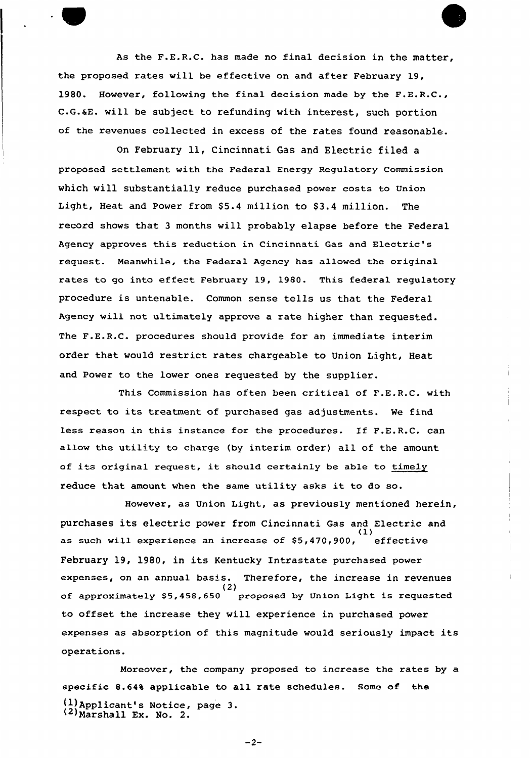As the F.E.R.C. has made no final decision in the matter, the proposed rates will be effective on and after Febxuary 19, 1980. However, following the final decision made by the F.E.R.C., <sup>C</sup> G.&E. vill be subject to refunding vith interest, such portion of the revenues collected in excess of the rates found reasonable.

on February ll, Cincinnati Gas and Electric filed <sup>a</sup> proposed settlement with the Federal Energy Regulatory Commission which will substantially reduce purchased power costs to Union Light, Heat and Power from \$5.4 million to \$3.4 million. The record shows that <sup>3</sup> months vill probably elapse before the Federal Agency approves this reduction in Cincinnati Gas and Electric's request. Meanwhile, the Federal Agency has allowed the original rates to go into effect February 19, 1980. This federal regulatory pxocedure is untenable. Common sense tells us that the Federal Agency will not ultimately approve a rate higher than requested. The F.E.R.C. procedures should provide for an immediate interim order that would restrict xates chargeable to Union Light, Heat and Power to the lower ones requested by the supplier.

This Commission has often been cxitical of F.E.R.C. with respect to its treatment of purchased gas adjustments. Me find less reason in this instance for the procedures. If F.E.R.C. can allow the utility to charge {by interim order) all of the amount of its original request, it should certainly be able to timely reduce that amount when the same utility asks it to do so.

However, as Union Light, as previously mentioned herein, purchases its electric power from Cincinnati Gas and Electric and .<br>as such will experience an increase of \$5,470,900, effectiv February 19, 1980, in its Kentucky Intrastate purchased power expenses, on an annual basis. Therefore, the increase in revenues<br>(2) of approximately \$5,458,650 proposed by Union Light is requested to offset the increase they vill experience in purchased power expenses as absorption of this magnitude would seriously impact its operations.

Moreover, the company proposed to increase the rates by a specific 8.64% applicable to all rate schedules. Some of the {1)Applicant's Notice, page 3.

 $-2-$ 

 $(2)$ Marshall Ex. No. 2.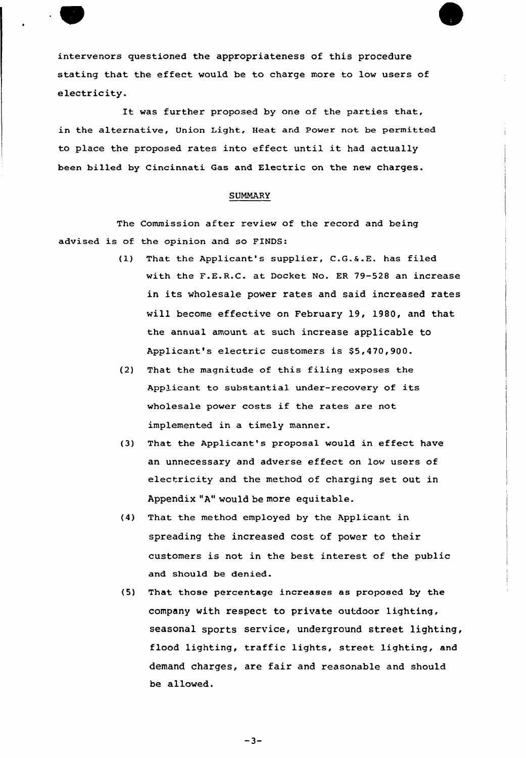intervenors questioned the appropriateness of this procedure stating that the effect would be to charge more to low users of electricity.

It was further proposed by one of the parties that, in the alternative, Union Light, Heat and Power not be permitted to place the proposed rates into effect until it had actually been billed by Cincinnati. Gas and Electric on the new charges.

## SUMMARY

The Commission after review of the record and being advised is of the opinion and so FINDS:

- (1) That the Applicant's supplier, C.G.6.E. has filed with the F.E.R.C. at Docket No. ER 79-528 an increase in its wholesale power rates and said increased rates will become effective on February 19, 1980, and that the annual amount at such increase applicable to Applicant's electric customers is \$5,470,900.
- (2) That the magnitude of this filing exposes the Applicant to substantial under-recovery of its wholesale power costs if the rates are not implemented in a timely manner.
- (3) That the Applicant's proposal would in effect have an unnecessary and adverse effect on low users of electricity and the method of charging set out in Appendix "A" would be more equitable.
- (4) That the method employed by the Applicant in spreading the increased cost of power to their customers is not in the best interest of the public and should be denied.
- (5) That those percentage increases as proposed by the company with respect to private outdoor lighting, seasonal sports service, underground street lighting, flood lighting, traffic lights, street lighting, and demand charges, are fair and reasonable and should be allowed.

 $-3-$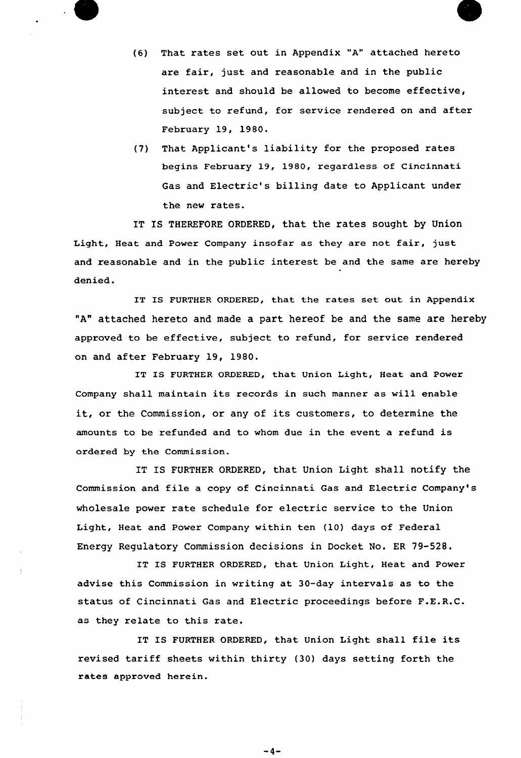



(7) That Applicant's liability for the proposed rates begins February 19, 19SO, regardless of Cincinnati Gas and Electric's billing date to Applicant under the new rates.

IT IS THEREFORE ORDERED, that the rates sought by Union Light, Heat and Power Company insofar as they are not fair, just and reasonable and in the public interest be and the same are hereby denied.

IT IS FURTHER ORDERED, that the rates set out in Appendix "A" attached hereto and made a part hereof be and the same are hereby approved to be effective, subject to refund, for service rendered on and after Februaxy 19, 1980.

IT IS FURTHER ORDERED, that Union Light, Heat and Power Company shall maintain its records in such manner as will enable it, ox the Commission, or any of its customers, to determine the amounts to be refunded and to whom due in the event a refund is oxdered by the Commission,.

IT IS FURTHER ORDERED, that Union Light shall notify the Commission and file a copy of Cincinnati Gas and Electric Company's wholesale power rate schedule for electric service to the Union Light, Heat and Power Company within ten (10) days of Federal Energy Regulatory Commission decisions in Docket No. ER 79-528.

IT IS FURTHER ORDERED, that Union Light, Heat and Power advise this Commission in writing at 30-day intervals as to the status of Cincinnati Gas and Electric proceedings before F.E.R.C. as they relate to this rate.

IT IS FURTHER ORDERED, that Union Light shall file its revised tariff sheets within thirty (30) days setting forth the rates approved herein.

 $-4-$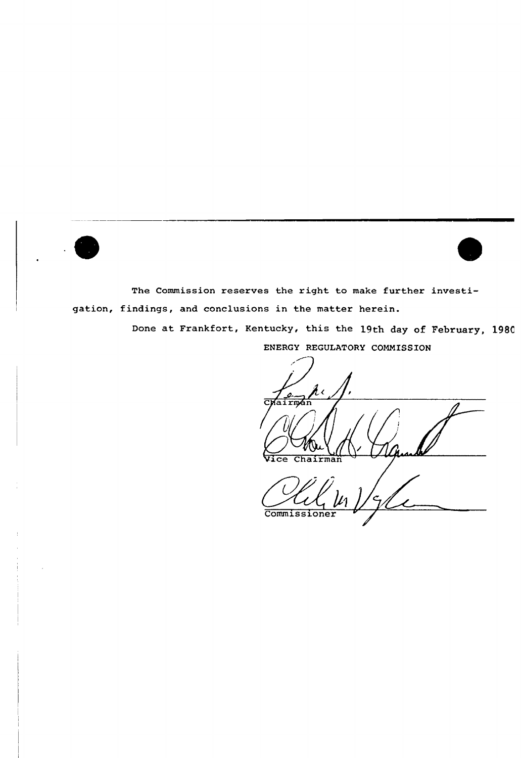



The Commission reserves the right to make further investigation, findings, and conclusions in the matter herein.

> Done at Frankfort, Kentucky, this the 19th day of February, 1980 ENERGY REGULATORY COMMISSION

 $\lambda$  $\frac{1}{\text{Chairman}}$ Vice Chairman

Commissioner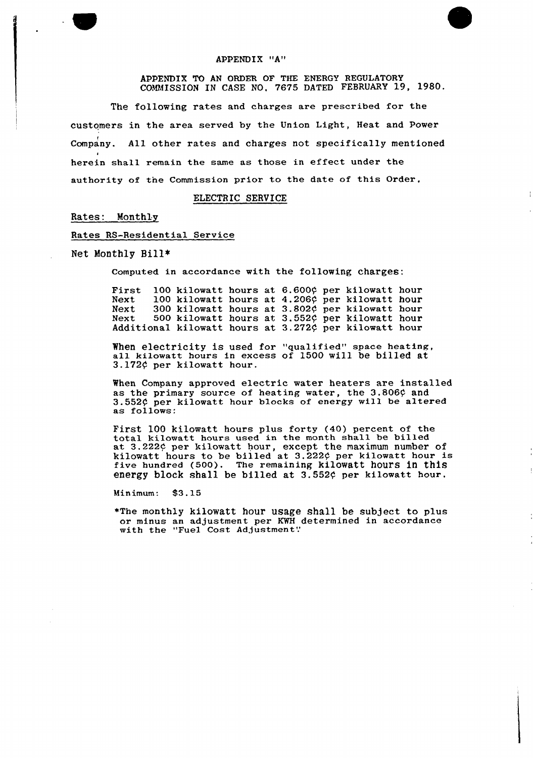#### APPENDIX "A"

#### APPENDIX TO AN ORDER OF THE ENERGY REGULATORY COMMISSION IN CASE NO. 7675 DATED FEBRUARY 19, 1980.

The following rates and charges are prescribed for the customers in the area served by the Union Light, Heat and Power Company. All other rates and charges not specifically mentioned I herein shall remain the same as those in effect under the authority of the Commission prior to the date of this Order,

## ELECTRIC SERVICE

## Rates: Monthly

## Rates RS-Residential Service

Net Monthly Bill<

Computed in accordance with the following charges:

First 100 kilowatt hours at 6.600¢ per kilowatt hour Next 100 kilowatt hours at Next 300 kilowatt hours at Next 500 kilowatt hours at Additional kilowatt hours at 4.206¢ per kilowatt hour 3.802¢ per kilowatt hour 3.552¢ per kilowatt hour  $3.272\zeta$  per kilowatt hour

When electricity is used for "qualified" space heating, all kilowatt hours in excess of 1500 will be billed at 3.172 $\zeta$  per kilowatt hour.

When Company approved electric water heaters are installed as the primary source of heating water, the 3.806¢ and 3.552¢ per kilowatt hour blocks of energy will be altered as follows:

First <sup>100</sup> kilowatt hours plus forty (40) percent of the total kilowatt hours used in the month shall be billed at 3.222c per kilowatt hour, except the maximum number of kilowatt hours to be billed at 3.222¢ per kilowatt hour is five hundred (500). The remaining kilowatt hours in this energy block shall be billed at 3.552¢ per kilowatt hour.

Minimum: \$3.15

~The monthly kilowatt hour usage shall be subject to plus or minus an adjustment per KWH determined in accordance with the "Fuel Cost Adjustment"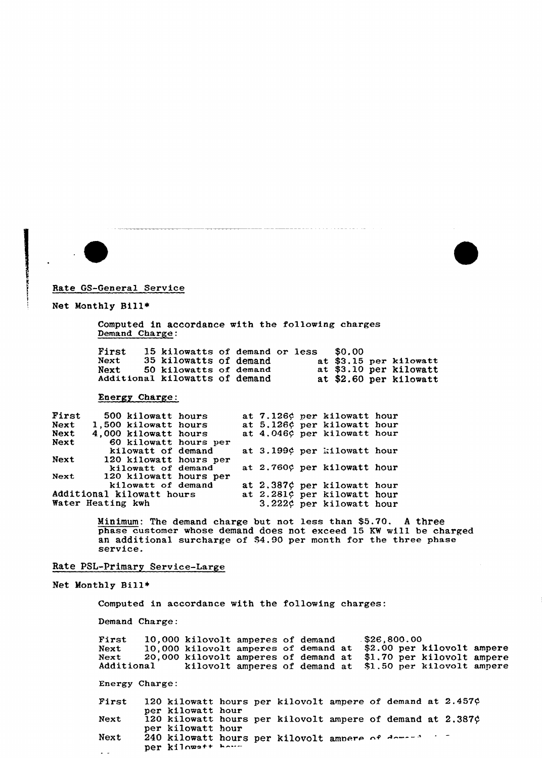



Rate GS-General Service

#### Net Monthly Bill~

Computed in accordance with the following charges Demand Charge:

First 15 kilowatts of demand or less \$0.00<br>Next 35 kilowatts of demand at \$3.15 per kilowatt 35 kilowatts of demand<br>50 kilowatts of demand<br>at \$3.10 per kilowatt Next 50 kilowatts of demand at \$3.15 per kilowatts of demand at \$3.10 per kilowat Additional kilowatts of demand at \$2.60 per kilowat

## Energy Charge:

| First | 500 kilowatt hours        |  | at 7.126¢ per kilowatt hour |  |
|-------|---------------------------|--|-----------------------------|--|
| Next  | 1,500 kilowatt hours      |  | at 5.126¢ per kilowatt hour |  |
| Next  | 4,000 kilowatt hours      |  | at 4.046¢ per kilowatt hour |  |
| Next  | 60 kilowatt hours per     |  |                             |  |
|       | kilowatt of demand        |  | at 3.199¢ per kilowatt hour |  |
| Next  | 120 kilowatt hours per    |  |                             |  |
|       | kilowatt of demand        |  | at 2.760¢ per kilowatt hour |  |
| Next  | 120 kilowatt hours per    |  |                             |  |
|       | kilowatt of demand        |  | at 2.387¢ per kilowatt hour |  |
|       | Additional kilowatt hours |  | at 2.281¢ per kilowatt hour |  |
|       | Water Heating kwh         |  | 3.222¢ per kilowatt hour    |  |

Minimum: The demand charge but not less than \$5.70. <sup>A</sup> three phase customer whose demand does not exceed 15 KW will be charge an additional surcharge of \$4.90 per month for the three phase<br>service.

# Rate PSL-Primary Service-Large

Net Monthly Bill»

Computed in accordance with the following charges:

Demand Charge:

First 10,000 kilovolt amperes of demand<br>Next 10.000 kilovolt amperes of demand Next 10,000 kilovolt amperes of demand at<br>Next 20,000 kilovolt amperes of demand at Next 20,000 kilovolt amperes of demand at Additional kilovolt amperes of demand at .\$26,800.00 \$2.00 per kilovolt ampere \$1.70 per kilovolt ampere \$1.50 per kilovolt ampere

Energy Charge:

120 kilowatt hours per kilovolt ampere of demand at 2.457¢ First per kilowatt hour 120 kilowatt hours per kilovolt ampere of demand at  $2.387$  $\circ$ Next per kilowatt hour 240 kilowatt hours per kilovolt amner Next per kilowatt how  $\mathbb{Z}^{\mathbb{Z}}$  .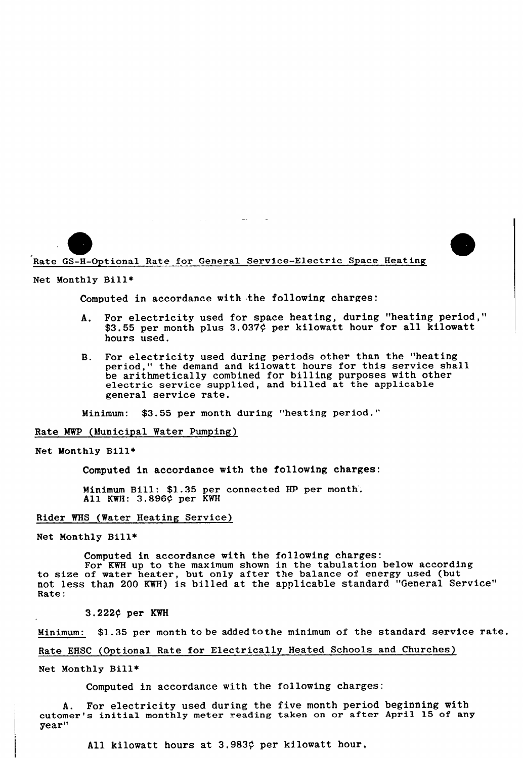Rate GS-H-Optional Rate for General Service-Electric Space Heating

 $\mathcal{L}^{\text{max}}$  and  $\mathcal{L}^{\text{max}}$ 

 $\sim 100$  km s  $^{-1}$ 

Net Monthly Bill»

Computed in accordance with the following charges.

- A. For electricity used for space heating, during "heating period," \$3.55 per month plus 3.037¢ per kilowatt hour for all kilowatt hours used.
- B. For electricity used during periods other than the "heating period," the demand and kilowatt hours for this service shall be arithmetically combined for billing purposes with other electric service supplied, and billed at the applicable general service rate.

Minimum: \$3.55 per month during "heating period."

Rate NWP (Municipal Water Pumping)

Net Monthly Bill»

Computed in accordance with the following charges:

Minimum Bill: \$1.35 per connected HP. per month', All KWH: 3.896¢ per KWH

#### Rider WHS (Water Heating Service)

Net Monthly Bill»

Computed in accordance with the following charges

For KWH up to the maximum shown in the tabulation below according to size of water heater, but only after the balance of energy used (but not less than 200 KWH) is billed at the applicable standard "General Service" Rate:

3.222/ per KWH

Minimum: \$1.35 per month to be added tothe minimum of the standard service rate.

Rate EHSC (Optional Rate for Electrically Heated Schools and Churches)

Net Monthly Bill»

Computed in accordance with the following charges:

A. For electricity used during the five month period beginning with cutomer's initial monthly meter reading taken on or after April 15 of any year"

All kilowatt hours at  $3.983$  $¢$  per kilowatt hour,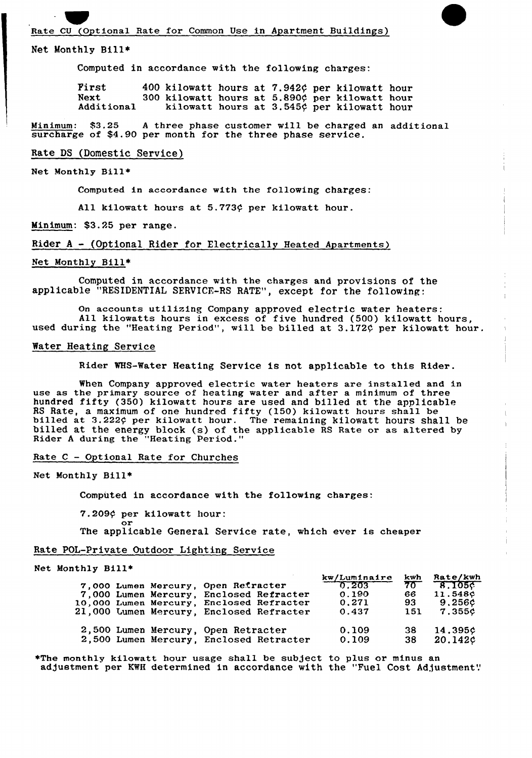### Net Monthly Bill<

Computed in accordance with the following charges:

First  $400$  kilowatt hours at 7.942 $\phi$  per kilowatt hours at 5.890 $\phi$  per kilowatt hour Next 300 kilowatt hours at 5.890¢ per kilowatt hour<br>Additional kilowatt hours at 3.545¢ per kilowatt hour kilowatt hours at  $3.545\phi$  per kilowatt hour

Minimum: %3.25 <sup>A</sup> three phase customer will be charged an additional surcharge of \$4.90 per month for the three phase service.

#### Rate DS (Domestic Service)

#### Net Monthly Bi11+

Computed in accordance with the following charges:

All kilowatt hours at  $5.773$  $¢$  per kilowatt hour.

Minimum: \$3.25 per range.

Rider <sup>A</sup> - (Optional Rider for Electrically Heated Apartments)

#### Net Monthly Bill\*

Computed in accordance with the charges and provisions of the applicable "RESIDENTIAL SERVICE-RS RATE", except for the following:

On accounts utilizing Company approved electric water heaters: All kilowatts hours in excess of five hundred (500) kilowatt hours, used during the "Heating Period", will be billed at 3.172¢ per kilowatt hour.

#### Water Heating Service

Rider WHS-Water Heating Service is not applicable to this Rider.

When Company approved electric water heaters are installed and in use as the primary source of heating water and after a minimum of three hundred fifty (350) kilowatt hours are used and billed at the applicable RS Rate, a maximum of one hundred fifty (150) kilowatt hours shall be billed at 3.222¢ per kilowatt hour. The remaining kilowatt hours shall be billed at the energy block (s) of the applicable RS Rate or as altered by Rider <sup>A</sup> during the "Heating Period."

## Rate C - Optional Rate for Churches

Net Monthly Bill\*

Computed in accordance with the following charges:

7.209¢ per kilowatt hour: or

The applicable General Service rate, which ever is cheaper

## Rate POL-Private Outdoor Lighting Service

#### Net Monthly Bill~

| 7,000 Lumen Mercury, Open Retracter<br>7,000 Lumen Mercury, Enclosed Refracter<br>10,000 Lumen Mercury, Enclosed Refracter<br>21,000 Lumen Mercury, Enclosed Refracter | kw/Luminaire<br>$-0.203$<br>0.190<br>0.271<br>0.437 | kwh<br>$70^{-}$<br>66.<br>93<br>151 | <b>Rate/kwh</b><br>$-8.105c$<br>11.548¢<br>9.256¢<br>7.355¢ |
|------------------------------------------------------------------------------------------------------------------------------------------------------------------------|-----------------------------------------------------|-------------------------------------|-------------------------------------------------------------|
| 2,500 Lumen Mercury, Open Retracter                                                                                                                                    | 0.109                                               | -38                                 | 14.395c                                                     |
| 2,500 Lumen Mercury, Enclosed Retracter                                                                                                                                | 0.109                                               | 38                                  | 20.142c                                                     |

\*The monthly kilowatt hour usage shall be subject to plus or minus an adjustment per KWH determined in accordance with the "Fuel Cost Adjustment".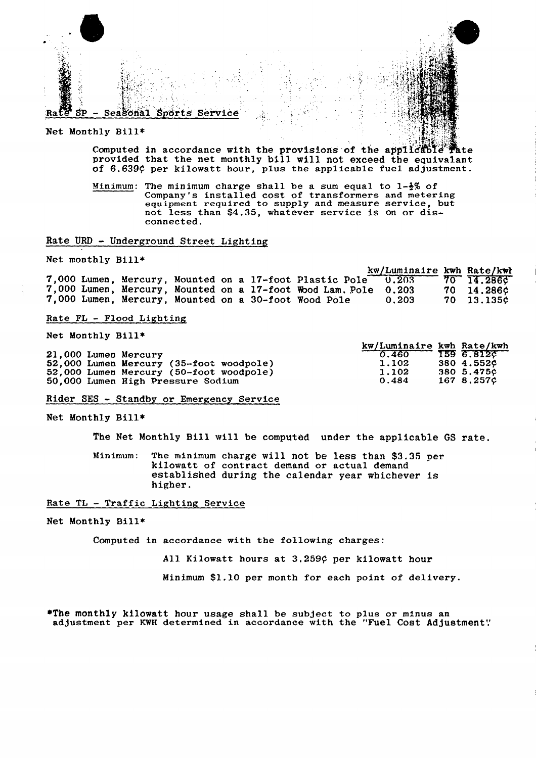

Net Monthly Bill\*

Computed in accordance with the provisions of the applicable Tate provided that the net monthly bill will not exceed the equivalant of 6.639¢ per kilowatt hour, plus the applicable fuel adjustment.

Minimum: The minimum charge shall be a sum equal to  $1-\frac{1}{2}\%$  of Company's installed cost of transformers and metering equipment required to supply and measure service, but not less than \$4.35, whatever service is on or disconnected.

## Rate URD - Underground Street Lighting

Net monthly Bill\*

kw/Luminaire kwh Rate/kwh 7,000 Lumen, Mercury, Mounted on a 17-foot Plastic Pole<sup>22</sup><br>7,000 Lumen, Mercury, Mounted on a 17-foot Wood Lam. Pole<br>7,000 Lumen, Mercury, Mounted on a 30-foot Wood Pole  $\overline{70}$  $0.203$ 14.286¢ 0.203 70 14.286¢  $0.203$ 70 13.135¢

Rate FL - Flood Lighting

Net Monthly Bill\*

|                                         | KW/Luminaire kwn Rate/kwn |            |
|-----------------------------------------|---------------------------|------------|
| 21,000 Lumen Mercury                    | 0.460                     | 159 6.8120 |
| 52,000 Lumen Mercury (35-foot woodpole) | 1.102                     | 380 4.552C |
| 52,000 Lumen Mercury (50-foot woodpole) | 1.102                     | 380 5.4750 |
| 50,000 Lumen High Pressure Sodium       | 0.484                     | 167 8.257¢ |

Rider SES - Standby or Emergency Service

Net Monthly Bill\*

The Net Monthly Bill will be computed under the applicable GS rate.

Minimum: The minimum charge will not be less than \$3.35 per kilowatt of contract demand or actual demand established during the calendar year whichever is higher.

Rate TL - Traffic Lighting Service

Net Monthly Bill\*

Computed in accordance with the following charges:

All Kilowatt hours at 3.259¢ per kilowatt hour

Minimum \$1.10 per month for each point of delivery.

\*The monthly kilowatt hour usage shall be subject to plus or minus an adjustment per KWH determined in accordance with the "Fuel Cost Adjustment"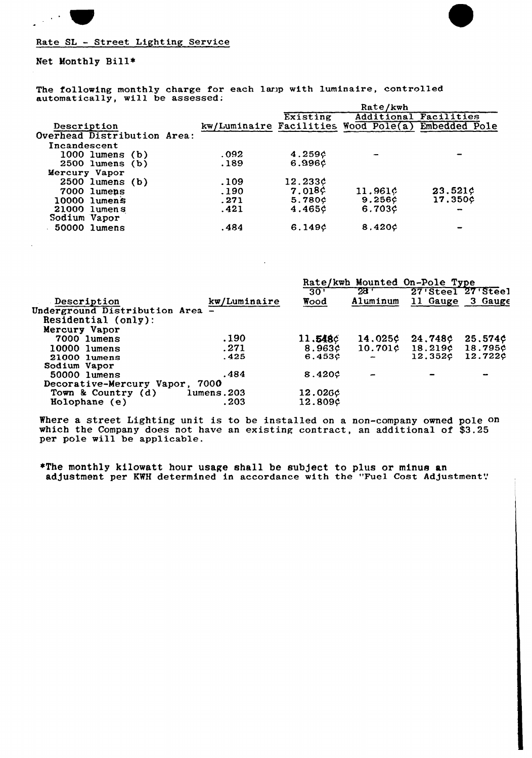

## Rate SL — Street Lighting Service

Net Monthly Bill\*

The following monthly charge for each lamp with luminaire, controlled automatically, will be assessed; Rate/kwh

|                             |       | <i><b>Race/Rwm</b></i> |                                      |                              |  |
|-----------------------------|-------|------------------------|--------------------------------------|------------------------------|--|
|                             |       | Existing               |                                      | <b>Additional Facilities</b> |  |
| Description                 |       |                        | kw/Luminaire Facilities Wood Pole(a) | Embedded Pole                |  |
| Overhead Distribution Area: |       |                        |                                      |                              |  |
| Incandescent                |       |                        |                                      |                              |  |
| $1000$ lumens (b)           | 0.092 | 4.259c                 |                                      |                              |  |
| $2500$ lumens $(b)$         | .189  | 6.996¢                 |                                      |                              |  |
| Mercury Vapor               |       |                        |                                      |                              |  |
| $2500$ lumens (b)           | .109  | 12.233c                |                                      |                              |  |
| 7000 lumens                 | .190  | $7.018$ $c$            | 11.961¢                              | 23.521c                      |  |
| 10000 lumens                | .271  | 5.780c                 | 9.256c                               | 17.350¢                      |  |
| $21000$ lumens              | .421  | 4.465c                 | 6.703¢                               | $\overline{\phantom{a}}$     |  |
| Sodium Vapor                |       |                        |                                      |                              |  |
| 50000 lumens                | .484  | 6.149c                 | 8.420c                               |                              |  |
|                             |       |                        |                                      |                              |  |

|                                |              | Rate/kwh Mounted On-Pole Type |              |                     |                   |
|--------------------------------|--------------|-------------------------------|--------------|---------------------|-------------------|
|                                |              | 30'                           | $28^{\circ}$ |                     | 27'Steel 27'Steel |
| Description                    | kw/Luminaire | Wood                          | Aluminum     |                     | 11 Gauge 3 Gauge  |
| Underground Distribution Area  |              |                               |              |                     |                   |
| Residential (only):            |              |                               |              |                     |                   |
| Mercury Vapor                  |              |                               |              |                     |                   |
| 7000 lumens                    | .190         | 11.548c                       | 14.025c      | 24.748c             | 25.574¢           |
| 10000 lumens                   | .271         | 8.963c                        |              | $10.701c$ $18.219c$ | 18.795¢           |
| 21000 lumens                   | .425         | 6.453¢                        |              | 12.352¢             | 12.722¢           |
| Sodium Vapor                   |              |                               |              |                     |                   |
| 50000 lumens                   | .484         | 8.420c                        |              |                     |                   |
| Decorative-Mercury Vapor, 7000 |              |                               |              |                     |                   |
| Town & Country $(d)$           | lumens.203   | 12.026¢                       |              |                     |                   |
| Holophane (e)                  | . 203        | 12.809¢                       |              |                     |                   |
|                                |              |                               |              |                     |                   |

Where a street Lighting unit is to be installed on a non-company owned pole on which the Company does not have an existing contract, an additional of \$3.25 per pole will be applicable.

\*The monthly kilowatt hour usage shall be subject to plus or minus an adjustment per KWH determined in accordance with the "Fuel Cost Adjustment".